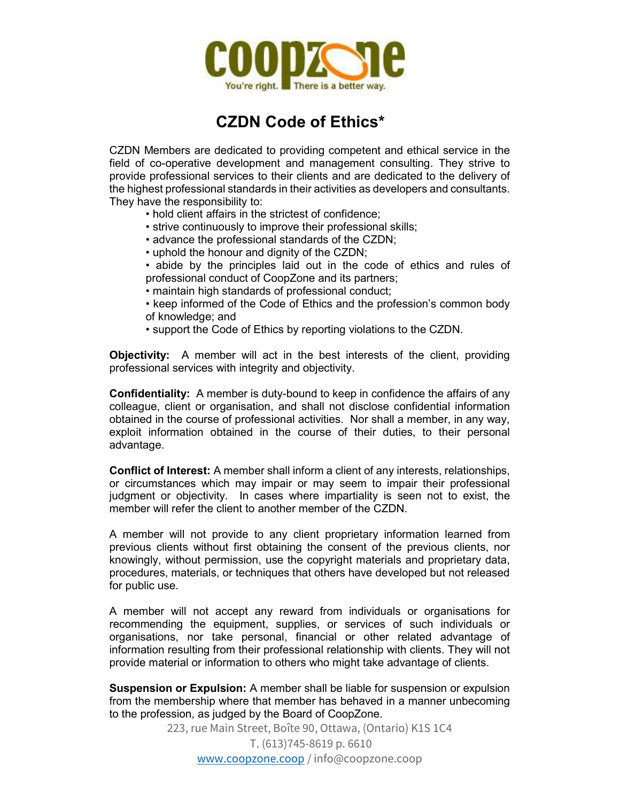

## CZDN Code of Ethics\*

CZDN Members are dedicated to providing competent and ethical service in the field of co-operative development and management consulting. They strive to provide professional services to their clients and are dedicated to the delivery of the highest professional standards in their activities as developers and consultants. They have the responsibility to:

- hold client affairs in the strictest of confidence;
- strive continuously to improve their professional skills;
- advance the professional standards of the CZDN;
- uphold the honour and dignity of the CZDN;
- abide by the principles laid out in the code of ethics and rules of professional conduct of CoopZone and its partners;
- maintain high standards of professional conduct;
- keep informed of the Code of Ethics and the profession's common body of knowledge; and
- support the Code of Ethics by reporting violations to the CZDN.

Objectivity: A member will act in the best interests of the client, providing professional services with integrity and objectivity.

Confidentiality: A member is duty-bound to keep in confidence the affairs of any colleague, client or organisation, and shall not disclose confidential information obtained in the course of professional activities. Nor shall a member, in any way, exploit information obtained in the course of their duties, to their personal advantage.

Conflict of Interest: A member shall inform a client of any interests, relationships, or circumstances which may impair or may seem to impair their professional judgment or objectivity. In cases where impartiality is seen not to exist, the member will refer the client to another member of the CZDN.

A member will not provide to any client proprietary information learned from previous clients without first obtaining the consent of the previous clients, nor knowingly, without permission, use the copyright materials and proprietary data, procedures, materials, or techniques that others have developed but not released for public use.

A member will not accept any reward from individuals or organisations for recommending the equipment, supplies, or services of such individuals or organisations, nor take personal, financial or other related advantage of information resulting from their professional relationship with clients. They will not provide material or information to others who might take advantage of clients.

**Suspension or Expulsion:** A member shall be liable for suspension or expulsion from the membership where that member has behaved in a manner unbecoming to the profession, as judged by the Board of CoopZone.

> 223, rue Main Street, Boîte 90, Ottawa, (Ontario) K1S 1C4 T. (613)745-8619 p. 6610 www.coopzone.coop / info@coopzone.coop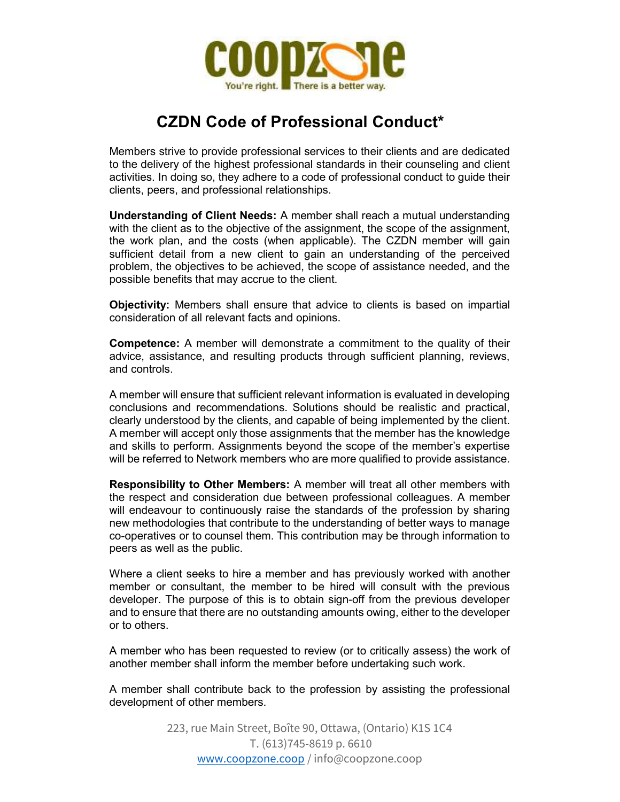

## CZDN Code of Professional Conduct\*

Members strive to provide professional services to their clients and are dedicated to the delivery of the highest professional standards in their counseling and client activities. In doing so, they adhere to a code of professional conduct to guide their clients, peers, and professional relationships.

Understanding of Client Needs: A member shall reach a mutual understanding with the client as to the objective of the assignment, the scope of the assignment, the work plan, and the costs (when applicable). The CZDN member will gain sufficient detail from a new client to gain an understanding of the perceived problem, the objectives to be achieved, the scope of assistance needed, and the possible benefits that may accrue to the client.

Objectivity: Members shall ensure that advice to clients is based on impartial consideration of all relevant facts and opinions.

Competence: A member will demonstrate a commitment to the quality of their advice, assistance, and resulting products through sufficient planning, reviews, and controls.

A member will ensure that sufficient relevant information is evaluated in developing conclusions and recommendations. Solutions should be realistic and practical, clearly understood by the clients, and capable of being implemented by the client. A member will accept only those assignments that the member has the knowledge and skills to perform. Assignments beyond the scope of the member's expertise will be referred to Network members who are more qualified to provide assistance.

Responsibility to Other Members: A member will treat all other members with the respect and consideration due between professional colleagues. A member will endeavour to continuously raise the standards of the profession by sharing new methodologies that contribute to the understanding of better ways to manage co-operatives or to counsel them. This contribution may be through information to peers as well as the public.

Where a client seeks to hire a member and has previously worked with another member or consultant, the member to be hired will consult with the previous developer. The purpose of this is to obtain sign-off from the previous developer and to ensure that there are no outstanding amounts owing, either to the developer or to others.

A member who has been requested to review (or to critically assess) the work of another member shall inform the member before undertaking such work.

A member shall contribute back to the profession by assisting the professional development of other members.

> 223, rue Main Street, Boîte 90, Ottawa, (Ontario) K1S 1C4 T. (613)745-8619 p. 6610 www.coopzone.coop / info@coopzone.coop